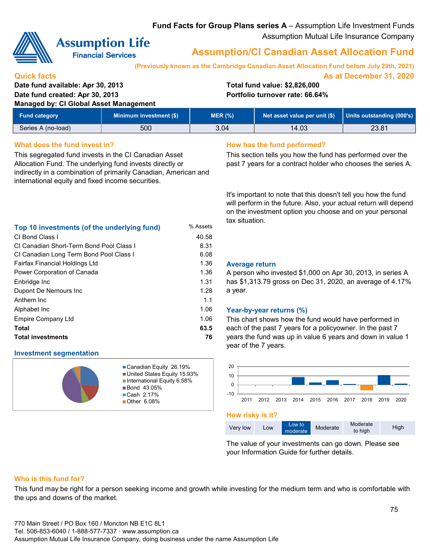### **Fund Facts for Group Plans series A** – Assumption Life Investment Funds Assumption Mutual Life Insurance Company



# **Assumption Life**

**Financial Services** 

## **Assumption/CI Canadian Asset Allocation Fund**

**(Previously known as the Cambridge Canadian Asset Allocation Fund before July 29th, 2021)**

**As at December 31, 2020**

#### **Quick facts**

### **Date fund available: Apr 30, 2013 Total fund value: \$2,826,000 Date fund created: Apr 30, 2013 Portfolio turnover rate: 66.64%**

**Managed by: CI Global Asset Management**

| <b>Fund category</b> | Minimum investment (\$) | MER (%) | Net asset value per unit (\$)   Units outstanding (000's) |       |
|----------------------|-------------------------|---------|-----------------------------------------------------------|-------|
| Series A (no-load)   | 500                     | 3.04    | 14.03                                                     | 23.81 |

#### **What does the fund invest in? How has the fund performed?**

This segregated fund invests in the CI Canadian Asset Allocation Fund. The underlying fund invests directly or indirectly in a combination of primarily Canadian, American and international equity and fixed income securities.

#### **Top 10 investments (of the underlying fund)** % Assets CI Bond Class I 40.58 8.31 CI Canadian Long Term Bond Pool Class I 6.08 Power Corporation of Canada 1.36 1.31 1.28 1.1 1.06 **Total 63.5 Total investments 76** CI Canadian Short-Term Bond Pool Class I Alphabet Inc Empire Company Ltd Fairfax Financial Holdings Ltd Enbridge Inc Dupont De Nemours Inc Anthem Inc

#### **Investment segmentation**



Canadian Equity 26.19% United States Equity 15.93% ■ International Equity 6.58% **Bond 43.05%** ■ Cash 2.17% Other 6.08%

This section tells you how the fund has performed over the past 7 years for a contract holder who chooses the series A.

It's important to note that this doesn't tell you how the fund will perform in the future. Also, your actual return will depend on the investment option you choose and on your personal tax situation.

#### 1.36 **Average return**

A person who invested \$1,000 on Apr 30, 2013, in series A has \$1,313.79 gross on Dec 31, 2020, an average of 4.17% a year.

#### 1.06 **Year-by-year returns (%)**

This chart shows how the fund would have performed in each of the past 7 years for a policyowner. In the past 7 years the fund was up in value 6 years and down in value 1 year of the 7 years.



**How risky is it?**

| Moderate<br>Low to<br>Moderate<br>Very low<br>Low<br>to high<br>moderate | High |
|--------------------------------------------------------------------------|------|
|--------------------------------------------------------------------------|------|

The value of your investments can go down. Please see your Information Guide for further details.

#### **Who is this fund for?**

This fund may be right for a person seeking income and growth while investing for the medium term and who is comfortable with the ups and downs of the market.